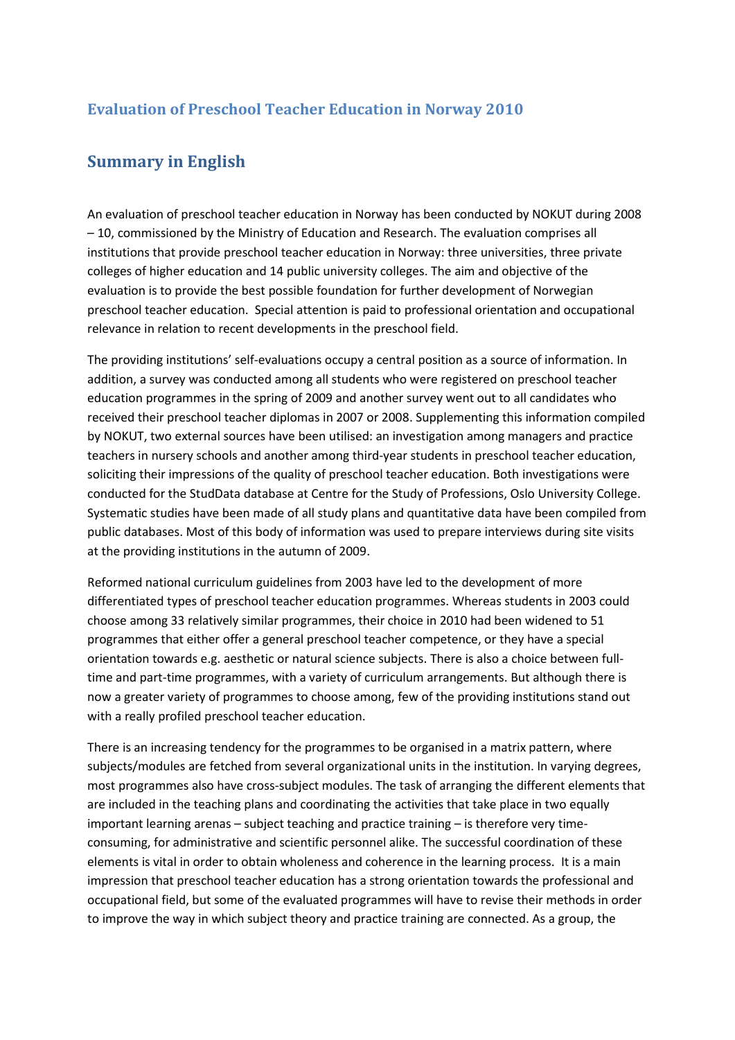## **Evaluation of Preschool Teacher Education in Norway 2010**

## **Summary in English**

An evaluation of preschool teacher education in Norway has been conducted by NOKUT during 2008 – 10, commissioned by the Ministry of Education and Research. The evaluation comprises all institutions that provide preschool teacher education in Norway: three universities, three private colleges of higher education and 14 public university colleges. The aim and objective of the evaluation is to provide the best possible foundation for further development of Norwegian preschool teacher education. Special attention is paid to professional orientation and occupational relevance in relation to recent developments in the preschool field.

The providing institutions' self-evaluations occupy a central position as a source of information. In addition, a survey was conducted among all students who were registered on preschool teacher education programmes in the spring of 2009 and another survey went out to all candidates who received their preschool teacher diplomas in 2007 or 2008. Supplementing this information compiled by NOKUT, two external sources have been utilised: an investigation among managers and practice teachers in nursery schools and another among third-year students in preschool teacher education, soliciting their impressions of the quality of preschool teacher education. Both investigations were conducted for the StudData database at Centre for the Study of Professions, Oslo University College. Systematic studies have been made of all study plans and quantitative data have been compiled from public databases. Most of this body of information was used to prepare interviews during site visits at the providing institutions in the autumn of 2009.

Reformed national curriculum guidelines from 2003 have led to the development of more differentiated types of preschool teacher education programmes. Whereas students in 2003 could choose among 33 relatively similar programmes, their choice in 2010 had been widened to 51 programmes that either offer a general preschool teacher competence, or they have a special orientation towards e.g. aesthetic or natural science subjects. There is also a choice between fulltime and part-time programmes, with a variety of curriculum arrangements. But although there is now a greater variety of programmes to choose among, few of the providing institutions stand out with a really profiled preschool teacher education.

There is an increasing tendency for the programmes to be organised in a matrix pattern, where subjects/modules are fetched from several organizational units in the institution. In varying degrees, most programmes also have cross-subject modules. The task of arranging the different elements that are included in the teaching plans and coordinating the activities that take place in two equally important learning arenas – subject teaching and practice training – is therefore very timeconsuming, for administrative and scientific personnel alike. The successful coordination of these elements is vital in order to obtain wholeness and coherence in the learning process. It is a main impression that preschool teacher education has a strong orientation towards the professional and occupational field, but some of the evaluated programmes will have to revise their methods in order to improve the way in which subject theory and practice training are connected. As a group, the